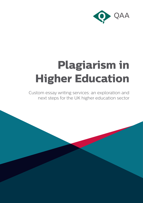

# **Plagiarism in Higher Education**

Custom essay writing services: an exploration and next steps for the UK higher education sector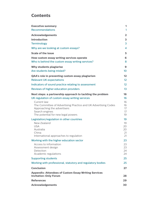# **Contents**

| <b>Executive summary</b>                                                                      | 1                       |
|-----------------------------------------------------------------------------------------------|-------------------------|
| <b>Recommendations</b>                                                                        | 1                       |
| <b>Acknowledgements</b>                                                                       | $\overline{\mathbf{2}}$ |
| <b>Introduction</b>                                                                           | 3                       |
| <b>Terminology</b>                                                                            | 3                       |
| Why are we looking at custom essays?                                                          | 4                       |
| <b>Scale of the issue</b>                                                                     | 5                       |
| How custom essay writing services operate                                                     | 6                       |
| Who is behind the custom essay writing services?                                              | 8                       |
| <b>Why students plagiarise</b>                                                                | $\boldsymbol{9}$        |
| Are students being misled?                                                                    | 10 <sup>°</sup>         |
| QAA's role in preventing custom essay plagiarism                                              | $12 \overline{ }$       |
| <b>Relevant UK expectations</b>                                                               | $12 \overline{ }$       |
| Indicators of sound practice relating to assessment                                           | 12                      |
| Reviews of higher education providers                                                         | 13                      |
| Next steps: a partnership approach to tackling the problem                                    | 16                      |
| UK regulation of custom essay writing services                                                | 16                      |
| Current law                                                                                   | 16                      |
| The Committee of Advertising Practice and UK Advertising Codes<br>Approaching the advertisers | 16<br>17                |
| Search engines                                                                                | 17                      |
| The potential for new legal powers                                                            | 19                      |
| Legislation/regulation in other countries                                                     | 19                      |
| New Zealand                                                                                   | 19                      |
| <b>USA</b><br>Australia                                                                       | 20<br>20                |
| China                                                                                         | 21                      |
| International approaches to regulation                                                        | 21                      |
| Working with the higher education sector                                                      | 23                      |
| Access to information                                                                         | 23                      |
| Assessment design<br>Detection                                                                | 23<br>24                |
| Academic regulations                                                                          | 24                      |
| <b>Supporting students</b>                                                                    | 25                      |
| Working with professional, statutory and regulatory bodies                                    | 25                      |
| <b>Conclusion</b>                                                                             | 27                      |
| <b>Appendix: Attendees of Custom Essay Writing Services</b>                                   |                         |
| <b>Invitation-Only Forum</b>                                                                  | 28                      |
| <b>References</b>                                                                             | 29                      |
| <b>Acknowledgements</b>                                                                       | 30                      |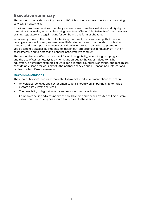# **Executive summary**

This report explores the growing threat to UK higher education from custom essay writing services, or 'essay mills'.

It looks at how these services operate, gives examples from their websites, and highlights the claims they make, in particular their guarantees of being 'plagiarism free'. It also reviews existing regulatory and legal means for combating this form of cheating.

In reviewing some of the options for tackling this threat, we acknowledge that there is no single solution. Instead, we need a multi-faceted approach that builds on published research and the steps that universities and colleges are already taking to promote good academic practice by students, to 'design out' opportunities for plagiarism in their assessments, and to detect and penalise academic misconduct.

This report also identifies the potential for working globally, recognising that plagiarism and the use of custom essays is by no means unique to the UK or indeed to higher education. It highlights examples of work done in other countries worldwide, and recognises considerable scope for working with the partner agencies and European and international bodies of which QAA is a member.

## **Recommendations**

The report's findings lead us to make the following broad recommendations for action:

- Universities, colleges and sector organisations should work in partnership to tackle custom essay writing services.
- The possibility of legislative approaches should be investigated.
- Companies selling advertising space should reject approaches by sites selling custom essays, and search engines should limit access to these sites.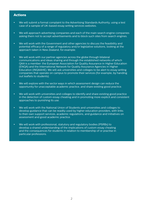## **Actions**

- We will submit a formal complaint to the Advertising Standards Authority, using a test case of a sample of UK-based essay writing services websites.
- We will approach advertising companies and each of the main search engine companies asking them not to accept advertisements and to block such sites from search engines.
- We will work with the Government and other agencies to discuss the feasibility and potential efficacy of a range of regulatory and/or legislative solutions, looking at the approach taken in New Zealand, for example.
- We will work with our partner agencies across the globe through bilateral communications and ideas sharing and through the established networks of which QAA is a member: the European Association for Quality Assurance in Higher Education (ENQA) and the International Network for Quality Assurance Agencies in Higher Education (INQAAHE). We will ask universities and colleges to be alert to essay writing companies that operate on campus to promote their services (for example, by handing out leaflets to students).
- We will explore with the sector ways in which assessment design can reduce the opportunity for unacceptable academic practice, and share existing good practice.
- We will work with universities and colleges to identify and share existing good practice in the detection of custom essay cheating and in promoting more explicit and consistent approaches to punishing its use.
- We will work with the National Union of Students and universities and colleges to develop guidance that can be readily used by higher education providers, with links to their own support services, academic regulations, and guidance and initiatives on assessment and good academic practice.
- We will work with professional, statutory and regulatory bodies (PSRBs) to develop a shared understanding of the implications of custom essay cheating and the consequences for students in relation to membership of or practise in particular professions.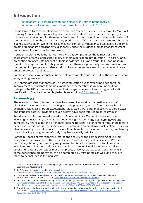# **Introduction**

 [Plagiarism is]… passing off someone else's work, either intentionally or unintentionally, as your own, for your own benefit. (Carroll 2007, p. 9)<sup>1</sup>

Plagiarism is a form of cheating and an academic offence. Using custom essays (or 'contract cheating') is a specific type of plagiarism, where a student commissions a third party to complete an assignment for them for a fee, then submits the work as their own. Providers of these services claim that the essays they produce are '100 per cent plagiarism free', but that is a misleading claim. While the essay may not contain any plagiarised text itself, it becomes an act of plagiarism and academic dishonesty once the student submits it for assessment and represents it as his or her own work.

If students submit work that is not their own, this compromises the fairness of the assessment process, brings the validity of their qualification into question - in particular by presenting an inaccurate account of their knowledge, skills and attributes - and poses a threat to the reputation of UK higher education. There are potentially serious ramifications for the public if people who falsely claim to be competent as a result of an academic award enter a profession and practise.

For these reasons, we strongly condemn all forms of plagiarism including the use of custom essay writing services.

QAA safeguards the standards of UK higher education qualifications and supports the improvement of students' learning experience, whether they study at a university or college in the UK or overseas, provided their programme leads to a UK higher education qualification. Our position on plagiarism is set out in a **QAA Viewpoint.**<sup>2</sup>

## **Terminology**

There are a number of terms that have been used to describe this particular form of plagiarism, including contract cheating,<sup>3,4</sup> paid plagiarism, turn-in fraud, literary fraud, academic fraud, essay fraud, assessment fraud, paid third-party plagiarism, cuckoo essays and imposter essays. Providers of such essays have been referred to as 'essay mills'.

Fraud is a specific term usually used to define a criminal offence of deception, often involving financial gain, so care is needed in using this term.<sup>5</sup> The gain here may not be immediately financial but the offender is seeking personal advancement through deliberate deception, in this case progressing toward or achieving an academic qualification. They may also be seeking to avoid financial loss (another characteristic of a fraud offence) by cheating to avoid failing a programme of study they have already paid for.

For the purposes of this report we refer to the activity as the commissioning of 'custom essays' and the providers of these products as 'custom essay writing services'. We use the term 'essay' broadly to cover any assignment that is not completed under closed-book/ invigilated examination conditions and results in a piece of work being submitted for assessment. We are conscious that other pieces of work, such as coding assignments in computer science programmes, can be completed by third parties as well, and they are taken to be included in this analysis.

<sup>1</sup> Carroll, J (2007) *A Handbook for Deterring Plagiarism in Higher Education*, second edition, Oxford Centre for Staff Learning and Development

<sup>2</sup> QAA Viewpoint: Plagiarism in UK Higher Education: [www.qaa.ac.uk/publications/information-and-guidance/publication?PubID=3054](http://www.qaa.ac.uk/publications/information-and-guidance/publication?PubID=3054)

<sup>3</sup> For example, Wallace, M J and Newton, P M (2014) Turnaround time and market capacity in contract cheating, *Educational Studies*, Vol. 40:2, 233-236: <http://dx.doi.org/10.1080/03055698.2014.889597>

<sup>4</sup> Clarke, R, Lancaster, T (2006) *Eliminating the successor to plagiarism? Identifying the usage of contract cheating sites:* [www.researchgate.net/profile/Thomas\\_Lancaster/publication/228367576\\_Eliminating\\_the\\_successor\\_to\\_plagiarism\\_](https://www.researchgate.net/profile/Thomas_Lancaster/publication/228367576_Eliminating_the_successor_to_plagiarism_Identifying_the_usage_of_contract_cheating_sites/links/02bfe50f6892ace478000000.pdf) [Identifying\\_the\\_usage\\_of\\_contract\\_cheating\\_sites/links/02bfe50f6892ace478000000.pdf](https://www.researchgate.net/profile/Thomas_Lancaster/publication/228367576_Eliminating_the_successor_to_plagiarism_Identifying_the_usage_of_contract_cheating_sites/links/02bfe50f6892ace478000000.pdf)

<sup>5</sup> One definition is: 'Dishonestly making a false (untrue or misleading) representation with a view to gain or with intent to cause loss.' [www.oxfordreference.com/view/10.1093/acref/9780199551248.001.0001/acref-9780199551248-e-](http://www.oxfordreference.com/view/10.1093/acref/9780199551248.001.0001/acref-9780199551248-e-1622?rskey=s)[1622?rskey=sCQgSk&result=1718](http://www.oxfordreference.com/view/10.1093/acref/9780199551248.001.0001/acref-9780199551248-e-1622?rskey=s)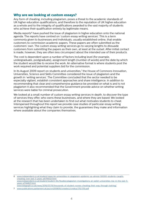## **Why are we looking at custom essays?**

Any form of cheating, including plagiarism, poses a threat to the academic standards of UK higher education qualifications, and therefore to the reputation of UK higher education as a whole and to the integrity of qualifications awarded to the vast majority of students who achieve their qualification entirely by legitimate means.

Media reports<sup>6</sup> have pushed the issue of plagiarism in higher education onto the national agenda. The reports have centred on 'custom essay writing services'. This is a term commonly given to businesses and individuals, usually established online, that enable customers to commission academic papers. These papers are often submitted as the customers' own. The custom essay writing services go to varying lengths to dissuade customers from submitting the papers as their own, at least at the outset. After initial contact is made, however, they are often less circumspect about the intended use of their products.

The cost is dependent upon a number of factors including level (for example, undergraduate, postgraduate), assignment length (number of words) and the date by which the student would like to receive the work. An alternative format is where students post the work required and potential suppliers bid for the commission.

In its August 2009 report on students and universities,<sup>7</sup> the House of Commons Innovation, Universities, Science and Skills Committee considered the issue of plagiarism and the growth in 'writing services'. The Committee concluded that the sector needed to be especially vigilant, establish consistent approaches and share intelligence. In addition to recommending that clear and comprehensive guidance be provided on what is and is not plagiarism it also recommended that the Government provide advice on whether writing services were liable for criminal prosecution.

We looked at a small number of custom essay writing services in depth, to discover the type of services they offer, who owns these businesses, and where they are based. We looked at the research that has been undertaken to find out what motivates students to cheat. Interspersed throughout this report we provide case studies of particular essay writing services highlighting what they claim to provide, the guarantees they make and information where available about the companies themselves.

6 [www.independent.co.uk/student/news/uk-universities-in-plagiarism-epidemic-as-almost-50000-students-caught](http://www.independent.co.uk/student/news/uk-universities-in-plagiarism-epidemic-as-almost-50000-students-caught-cheating-over-last-3-years-a6796021.html)[cheating-over-last-3-years-a6796021.html](http://www.independent.co.uk/student/news/uk-universities-in-plagiarism-epidemic-as-almost-50000-students-caught-cheating-over-last-3-years-a6796021.html) [www.independent.co.uk/student/student-life/Studies/plagiarism-investigations-at-welsh-universities-rise-in-the-last-5](http://www.independent.co.uk/student/student-life/Studies/plagiarism-investigations-at-welsh-universities-rise-in-the-last-5-years-a7144621.html) [years-a7144621.html](http://www.independent.co.uk/student/student-life/Studies/plagiarism-investigations-at-welsh-universities-rise-in-the-last-5-years-a7144621.html) [www.telegraph.co.uk/news/2016/07/19/thousands-of-student-nurses-cheating-their-way-through-training/](http://www.telegraph.co.uk/news/2016/07/19/thousands-of-student-nurses-cheating-their-way-through-training/)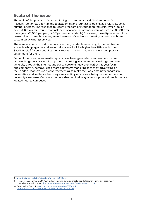# **Scale of the issue**

The scale of the practice of commissioning custom essays is difficult to quantify. Research so far has been limited to academics and journalists looking at a relatively small number of cases. The response to recent Freedom of Information requests, which looked across UK providers, found that instances of academic offences were as high as 50,000 over three years (17,000 per year, or 0.7 per cent of students).<sup>8</sup> However, these figures cannot be broken down to see how many were the result of students submitting essays bought from custom essay writing services.

The numbers can also indicate only how many students were caught; the numbers of students who plagiarise and are not discovered will be higher. In a 2014 study from Saudi Arabia,<sup>9</sup> 22 per cent of students reported having paid someone to complete an assignment for them.

Some of the more recent media reports have been generated as a result of custom essay writing services stepping up their advertising. Access to essay writing companies is generally through the internet and social networks. However, earlier this year (2016), one company (OKessays) used more aggressive marketing tactics by advertising on the London Underground.10 Advertisements also make their way onto noticeboards in universities, and leaflets advertising essay writing services are being handed out across university campuses. Cards and leaflets also find their way onto shop noticeboards that are located near to campuses.

<sup>8</sup> [www.thetimes.co.uk/tto/education/article4654719.ece](http://www.thetimes.co.uk/tto/education/article4654719.ece)

<sup>9</sup> Hosny, M, and Fatima, S (2014) Attitude of students towards cheating and plagiarism: university case study, Journal of Applied Sciences:<http://docsdrive.com/pdfs/ansinet/jas/2014/748-757.pdf>

<sup>10</sup> Reported by Radio 4: [www.bbc.co.uk/news/magazine-36276324](http://www.bbc.co.uk/news/magazine-36276324) <https://twitter.com/MarcusJBall/status/732265294262046720>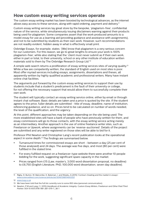# **How custom essay writing services operate**

The custom essay writing market has been boosted by technological advances, as the internet allows easy access to these services, along with rapid ordering, payment and delivery.<sup>11</sup>

Custom essay writing services lay great store by the bespoke, 'plagiarism-free', confidential nature of the service, while simultaneously issuing disclaimers warning against their products being used for plagiarism. Some companies assert that the work produced amounts to a model essay for use as a learning aid (providing guidance and assistance with assignments), and not to be submitted by students as their own work. However, such recommendations are not readily evident, hidden away in what is effectively small print.

Oxbridge Essays, for example, states: '[We] know that plagiarism is a very serious concern for our customers. For this reason, we go to great lengths to ensure your work is 100% plagiarism-free', while also stating that the 'client must never submit as if their own work, either in part or total, to their university, school or any other institute of education written materials sold to them by The Oxbridge Research Group Ltd.'12

A simple web search returns a proliferation of essay writing services sites of varying quality.13 While a few are competently written, the standard of English used on most sites is poor. Most offer myriad services including essays, assignments, dissertations and theses, all apparently written by highly qualified academic and professional writers. Many have instant online chat facilities.

The arguments put forward by the custom essay writing services to support their use by students include that a student's predicament is the fault of their university or college, for not offering the necessary support that would allow them to successfully complete their own work.

The student will typically contact an essay writing service online, either by email or through instant chat software. Basic details are taken and a price is quoted by the site. If the student agrees to the price, fuller details are submitted - title of essay, deadline, name of institution, referencing guidance, and so on. Prices tend to be calculated on number of words needed, the level of the qualification, and the urgency.

At this point, different approaches may be taken depending on the site being used. The more established sites will have a bank of people who have previously written for them, and essay commissions will go to those contacts, with the essay writing service acting merely as an intermediary. Another approach is the use of online freelance writer sites, such as Freelancer or Upwork, where assignments can be 'reverse-auctioned'. Details of the project are submitted and any writer registered on those sites will be able to bid for it.

Professor Phil Newton and Christopher Lang's recent publication looks at the operational aspect in some depth.<sup>14</sup> The findings are summarised below.

- Turnaround times for commissioned essays are short between a day (25 per cent of those analysed) and 24 days. The average was five days, and most (80 per cent) were fulfilled in the stated time.
- For every fulfilled request on a freelancer-type website there were another 10 people bidding for the work, suggesting significant spare capacity in the market.
- Prices ranged from £15 (Law, master's, 3,000 word dissertation proposal, no deadline) to £6,750 (English Literature, PhD, 100,000 word dissertation, seven day deadline).

<sup>11</sup> Rigby, D, Burton, M, Balcombe, K, Bateman, I, and Mulatu, A (2015) 'Contract cheating and the market in essays': [www.sciencedirect.com/science/article/pii/S0167268114003321](http://www.sciencedirect.com/science/article/pii/S0167268114003321)

<sup>12</sup> [www.torg.co.uk](http://www.torg.co.uk)

<sup>13</sup> We have been told that the full list currently runs to some 850 sites (personal communication).

<sup>14</sup> Newton, P M and Lang, C ( 2015) *Handbook of Academic Integrity: Custom Essay Writers, Freelancer and Other Paid Third Parties'* DOI 10.1007/978-981-287-079-7\_38-1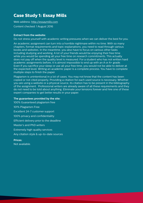# **Case Study 1: Essay Mills**

Web address:<http://essaymills.com> Content checked: 1 August 2016

## **Extract from the website:**

Do not stress yourself with academic writing pressures when we can deliver the best for you.

An academic assignment can turn into a horrible nightmare within no time. With so many chapters, format requirements and topic explanations, you need to read through various books and websites. In the meantime, you also have to focus on various other tasks including studying and working. A lot of your friends would be enjoying their free time while you would be spending all your free time on research commitments. This actually does not pay off when the quality level is measured. For a student who has not written hard academic assignments before, it is almost impossible to end up with an A or A+ grade. Even if you sacrifice your sleep or use all your free time, you would not be able to deliver at the expected level. Writing an academic paper is a complete process. You have to complete multiple steps to finish the paper.

Plagiarism is unintentional in a lot of cases. You may not know that the content has been copied or not cited properly. Providing a citation for each used source is necessary. Whether you are using a website or a physical source, its citation has to be present in the bibliography of the assignment. Professional writers are already aware of all these requirements and they do not need to be told about anything. Eliminate your tensions forever and hire one of these expert companies to get better results in your paper.

## **The guarantees provided by the site:**

100% Guaranteed plagiarism free 101% Plagiarism Free Excellent 24-7 customer support 100% privacy and confidentiality Efficient delivery prior to the deadline Master's and PhD writers Extremely high quality services Any citation style & up-to-date sources

**Prices:** Not available.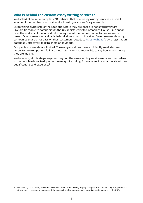## **Who is behind the custom essay writing services?**

We looked at an initial sample of 18 websites that offer essay writing services - a small sample of the number of such sites disclosed by a simple Google search.

Establishing ownership of the sites and where they are based is not straightforward. Five are traceable to companies in the UK, registered with Companies House. Six appear, from the address of the individual who registered the domain name, to be overseasbased. One overseas individual is behind at least two of the sites. Seven use web hosting companies that do not pass on their customers' details to<https://who.is> (a URL registration database), effectively making them anonymous.

Companies House data is limited. These organisations have sufficiently small declared assets to be exempt from full accounts returns so it is impossible to say how much money they are making.

We have not, at this stage, explored beyond the essay writing service websites themselves to the people who actually write the essays, including, for example, information about their qualifications and expertise.15

<sup>15</sup> The work by Dave Tomar, *The Shadow Scholar - How I made a living helping college kids to cheat (2013)*, is regarded as a pivotal work in purporting to represent the perspective of someone actually providing custom essays (in the USA).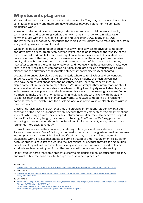# **Why students plagiarise**

Many students who plagiarise do not do so intentionally. They may be unclear about what constitutes plagiarism and therefore may not realise they are inadvertently submitting plagiarised work.16

However, under certain circumstances, students are prepared to deliberately cheat by commissioning and submitting work as their own; that is, in order to gain advantage commensurate with the level of risk (Clarke and Lancaster, 2006, Rigby et al, 2015). The lower the likelihood of being caught, the more likely students are to make use of custom essay writing services, even at a cost.

We might expect a proliferation of custom essay writing services to drive up competition and drive down prices; greater competition might lead to an increase in the 'quality' of the commissioned work, while lower prices might have the opposite effect. It is evident from only a brief search that very many companies exist, most of them being of questionable quality. Although some students may continue to make use of these companies, many may, after submitting the commissioned work and not receiving the anticipated grade, lose faith in the services of such companies. Certainly there are articles, $17$  websites and blogs highlighting the grievances of disgruntled students who themselves feel cheated.

Cultural differences also play a part, particularly where cultural values and conventions influence academic practice. Of the reported 50,000 students at British universities who have been caught cheating in the past three years, there are concerns that a disproportionate number are foreign students.18 Cultures vary in their interpretations about what is and what is not acceptable in academic writing. Learning styles will also play a part, with those who have previously relied on memorisation and rote learning processes finding it difficult to make the transition to becoming analytical, critical thinkers with the ability to express their own opinions in their own words. Language competence or proficiency, particularly where English is not the first language, also affects a student's ability to write in their own words.

Universities have faced criticism that they are enrolling international students with a poor command of the English language simply because they pay higher fees.19 Some international students who struggle with university-level study but are determined to achieve their paidfor qualification at any length, may resort to cheating. The Times in 2016 suggests that, according to data obtained through the Freedom of Information Act, foreign students are four times more likely to cheat.20

External pressures - be they financial, or relating to family or work - also have an impact. Parental pressure and fear of failing, or the need to get a particular grade or mark to progress into employment or onto higher level qualifications, may lead to students submitting plagiarised work. It is also reasonable to surmise that poor time-management skills, either because students have left the work to the last minute, or because they are facing multiple deadlines along with other commitments, may also compel students to resort to taking shortcuts such as copying text from other sources without appropriate referencing.

Finally, studies agree that some students resort to plagiarism simply because they are lazy and want to find the easiest route through the assessment process.<sup>21</sup>

<sup>16</sup> See note 11.

<sup>17</sup> [www.theguardian.com/money/2016/jul/09/essay-bought-online-errors-refund?CMP=Share\\_iOSApp\\_Other](http://www.theguardian.com/money/2016/jul/09/essay-bought-online-errors-refund?CMP=Share_iOSApp_Other)

<sup>18</sup> See note 8.

<sup>19</sup> [www.timeshighereducation.com/news/best-university-workplace-survey-unease-at-inadequate-language](https://www.timeshighereducation.com/news/best-university-workplace-survey-unease-at-inadequate-language-skills/2018345.article)[skills/2018345.article](https://www.timeshighereducation.com/news/best-university-workplace-survey-unease-at-inadequate-language-skills/2018345.article)

<sup>20</sup> See note 8.

<sup>21</sup> [https://offices.depaul.edu/oaa/faculty-resources/teaching/academic-integrity/Documents/Top%20Ten%20Reasons%20](https://offices.depaul.edu/oaa/faculty-resources/teaching/academic-integrity/Documents/Top%20Ten%20Reasons%20Students%20Plagiarize%202012.pdf) [Students%20Plagiarize%202012.pdf](https://offices.depaul.edu/oaa/faculty-resources/teaching/academic-integrity/Documents/Top%20Ten%20Reasons%20Students%20Plagiarize%202012.pdf) <http://www.trafford.ac.uk/static/plato/plagiarism1/why.html> [http://tlt.psu.edu/plagiarism/instructor-guide/why-students-plagiarize](http://tlt.psu.edu/plagiarism/instructor-guide/why-students-plagiarize )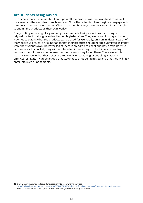## **Are students being misled?**

Disclaimers that customers should not pass off the products as their own tend to be well concealed on the websites of such services. Once the potential client begins to engage with the service the message changes. Clients can then be told, conversely, that it is acceptable to submit the products as their own work.<sup>22</sup>

Essay writing services go to great lengths to promote their products as consisting of original content that is guaranteed to be plagiarism-free. They are more circumspect when it comes to stating what the products can be used for. Generally, only an in-depth search of the website will reveal any exhortation that their products should not be submitted as if they were the student's own. However, if a student is prepared to cheat and pay a third party to do their work it is unlikely they will be interested in searching for disclaimers or reading terms and conditions, or be deterred by them even if they found them. There are ample reasons to deduce that these sites are knowingly encouraging or enabling academic offences; similarly it can be argued that students are not being misled and that they willingly enter into such arrangements.

<sup>22</sup> Ofqual-commissioned independent research into essay writing services: <http://webarchive.nationalarchives.gov.uk/20141031163546/http://ofqual.gov.uk/news/cheating-risk-online-essays> Similar companies examined, but study looked at high-school level qualifications.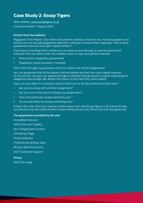# **Case Study 2: Essay Tigers**

Web address: [www.essaytigers.co.uk](http://www.essaytigers.co.uk)

Content checked: 1 August 2016

## **Extract from the website:**

Plagiarism Free Papers: Our writers only deliver original content to you. All essay papers and articles are run through plagiarism detection software to ensure their originality. That is what guarantees that you never get copied content!

Every piece of writing that is written by our writers is put through a sophisticated set of software that can detect even the smallest trace of copy and pasted material!

- Zero percent plagiarism guaranteed
- Plagiarism report provided, if needed

FAQ: Does the agency guarantee that the content will not be plagiarized?

Yes, we guarantee that all the papers that we deliver are free from any copied material. To ensure this, we pass our papers through a software that generates a report indicating the plagiarism percentage. We deliver this report to the client too, when asked.

Have you ever been in a situation where either one or all the points have been true?

- Are you too busy with another assignment?
- Are you not in the mood of doing any assignment?
- Does this particular assignment bore you?
- You would rather be doing something else?

If that's the case, then you need an online essay help. And EssayTigers.co.uk is here to help you because we are easily the best essay writing service [sic] UK and all over the globe too.

## **The guarantees provided by the site:**

Incredible Features 100% Premium Quality Non-Plagiarized Content 275 Words/Page Timely Delivery Professional Writing Team Money-Back Assurance 24/7 Customer Support **Prices:**

£8.67 per page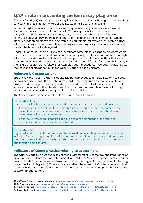# **QAA's role in preventing custom essay plagiarism**

At time of writing, QAA has no legal or regulatory powers to take action against essay writing services websites or ghost-writers or against students guilty of plagiarism.

In the UK, higher education institutions with degree awarding powers are responsible for the academic standards of their awards. These responsibilities are set out in the UK Quality Code for Higher Education (Quality Code),23 published by QAA following extensive consultation with the higher education sector and other stakeholders. Where higher education programmes are delivered in partnership, for example, through a further education college or a private college, the degree-awarding body's ultimate responsibility for standards cannot be delegated.

Under its Concerns Scheme,<sup>24</sup> OAA can investigate some higher education providers where there are concerns about academic standards and quality, and about information that higher education providers make available about their provision, and where we think that such concerns indicate serious systemic or procedural problems. We can, for example, investigate the failure of a provider to follow their own plagiarism procedures if we become aware that their responsibilities as set out in the Quality Code are not being met.

## **Relevant UK expectations**

Specifically, the Quality Code makes explicit that higher education qualifications can only be awarded where both the threshold standards - the minimum acceptable level for an award - and the degree-awarding body's own academic standards have been met, and where achievement of the intended learning outcomes has been demonstrated through assessment processes that are equitable, valid and reliable.

The following are extracts from the Quality Code, parts  $A^{25}$  and  $B^{26}$ .

#### **Expectation A3.2**

Degree-awarding bodies ensure that credit and qualifications are awarded only where:

- the achievement of relevant learning outcomes (module learning outcomes in the case of credit and programme outcomes in the case of qualifications) has been demonstrated through assessment
- both the UK threshold standards and the academic standards of the relevant degree-awarding body have been satisfied.

#### **Expectation B6**

Higher education providers operate equitable, valid and reliable processes of assessment, including for the recognition of prior learning, which enable every student to demonstrate the extent to which they have achieved the intended learning outcomes for the credit or qualification being sought.

## **Indicators of sound practice relating to assessment**

The Quality Code also sets out in its chapter on assessment (Chapter B6) the importance of developing in students the understanding of, and skills for, 'good academic practice' and the need to tackle 'unacceptable academic practice' (embracing all forms of academic cheating, misconduct and plagiarism). These indicators reflect the ethos of UK higher education, that students have a responsibility to engage in their learning and to develop and be developed as autonomous learners.

<sup>23</sup> UK Quality Code for Higher Education: [www.qaa.ac.uk/assuring-standards-and-quality/the-quality-code](http://www.qaa.ac.uk/assuring-standards-and-quality/the-quality-code)

<sup>24</sup> QAA Concerns Scheme: [www.qaa.ac.uk/concerns/concerns-about-providers](http://www.qaa.ac.uk/concerns/concerns-about-providers)

<sup>25</sup> Quality Code, Part A: [www.qaa.ac.uk/assuring-standards-and-quality/the-quality-code/quality-code-part-a](http://www.qaa.ac.uk/assuring-standards-and-quality/the-quality-code/quality-code-part-a)

<sup>26</sup> Quality Code, Part B: [www.qaa.ac.uk/assuring-standards-and-quality/the-quality-code/quality-code-part-b](http://www.qaa.ac.uk/assuring-standards-and-quality/the-quality-code/quality-code-part-b)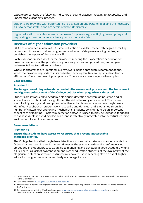*Chapter B6* contains the following indicators of sound practice<sup>27</sup> relating to acceptable and unacceptable academic practice.

Students are provided with opportunities to develop an understanding of, and the necessary skills to demonstrate, good academic practice. (Indicator 7)

Higher education providers operate processes for preventing, identifying, investigating and responding to unacceptable academic practice. (Indicator 14)

## **Reviews of higher education providers**

QAA has conducted reviews of UK higher education providers, those with degree awarding powers and those who deliver programmes on behalf of degree-awarding bodies, and published the reports of these reviews.28

Each review addresses whether the provider is meeting the Expectations set out above, based on evidence of the provider's regulations, policies and procedures, and on peer reviewers talking to staff and students.

Where shortcomings are identified, our reviewers make appropriate recommendations, which the provider responds to in its published action plan. Review reports also identify affirmations<sup>29</sup> and features of good practice.<sup>30</sup> Here are some anonymised examples:

#### **Good practice**

#### **Provider #1**

#### **The integration of plagiarism detection into the assessment process, and the transparent and rigorous enforcement of the College policies when plagiarism is detected.**

Students are introduced to academic plagiarism detection software at induction and all student work is submitted through this on the virtual learning environment. The process is applied rigorously, and prompt and effective action taken in cases where plagiarism is identified. Feedback on student work is specific and detailed, and is obtained through a number of written, oral and online mechanisms. Students consider it to be an important aspect of their learning. Plagiarism detection software is used to provide formative feedback to assist students in avoiding plagiarism, and is effectively integrated into the virtual learning environment for online submissions.

#### **Recommendations**

#### **Provider #2**

#### **Ensure that students have access to resources that prevent unacceptable academic practice.**

The College has installed plagiarism-detection software, which students can access via the College's virtual learning environment. However, the plagiarism-detection software is not embedded in student practice as an aid to managing and developing good academic writing skills. There is a lack of awareness among higher education students of the availability of the plagiarism-detection software, its function or how to use it. Teaching staff across all higher education programmes do not routinely encourage its use.

<sup>27</sup> Indicators of sound practice are not mandatory but help higher education providers address their responsibilities as defined in the Expectations.

<sup>28</sup> QAA review reports: [www.qaa.ac.uk/reviews-and-reports](http://www.qaa.ac.uk/reviews-and-reports)

<sup>29</sup> Affirmations are actions that higher education providers are taking in response to recommendations for improvement by QAA reviewers.

<sup>30</sup> To view examples, visit the QAA Knowledgebase, [www.qaa.ac.uk/research/knowledgebase-search,](http://www.qaa.ac.uk/research/knowledgebase-search) and search 'recommendations' using keywords 'misconduct' or 'plagiarism'.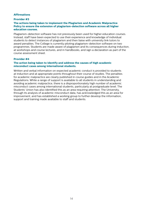## **Affirmations**

## **Provider #3**

## **The actions being taken to implement the Plagiarism and Academic Malpractice Policy to ensure the extension of plagiarism-detection software across all higher education courses.**

Plagiarism-detection software has not previously been used for higher education courses. Instead, staff have been expected to use their experience and knowledge of individual students to detect instances of plagiarism and then liaise with university link tutors to award penalties. The College is currently piloting plagiarism-detection software on two programmes. Students are made aware of plagiarism and its consequences during induction, at workshops and course lectures, and in handbooks, and sign a declaration as part of the course assessment sheet.

#### **Provider #4**

## **The action being taken to identify and address the causes of high academic misconduct cases among international students.**

Written and verbal information on expected academic conduct is provided to students at induction and at appropriate points throughout their course of studies. The penalties for academic malpractice are clearly published in course guides and in the Academic Regulations. While a range of support is available to all students in understanding and avoiding academic malpractice, there is a disproportionately high number of academic misconduct cases among international students, particularly at postgraduate level. The Students' Union has also identified this as an area requiring attention. The University, through its analysis of academic misconduct data, has acknowledged this as an area for improvement, and has established a working group to further develop the information, support and training made available to staff and students.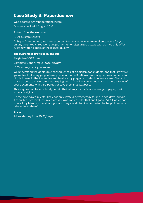# **Case Study 3: Paperduenow**

Web address: [www.paperduenow.com](http://www.paperduenow.com)

Content checked: 1 August 2016

## **Extract from the website:**

100% Custom Essays

At PaperDueNow.com, we have expert writers available to write excellent papers for you on any given topic. You won't get pre-written or plagiarized essays with us - we only offer custom written papers of the highest quality.

## **The guarantees provided by the site:**

Plagiarism 100% free

Completely anonymous 100% privacy

100% money back guarantee

We understand the deplorable consequences of plagiarism for students, and that is why we guarantee that every page of every order at PaperDueNow.com is original. We can be certain of this thanks to the innovative and trustworthy plagiarism detection service WebCheck. It scans papers to make sure they are plagiarism-free. The service won't share the contents of your documents with third parties or save them in a database.

This way, we can be absolutely certain that when your professor scans your paper, it will show as original.

'These guys saved my life! They not only wrote a perfect essay for me in two days, but did it at such a high level that my professor was impressed with it and I got an "A"! It was great! Now all my friends know about you and they are all thankful to me for the helpful resource I shared with them.'

## **Prices:**

Prices starting from \$9.97/page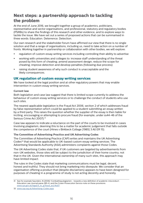# **Next steps: a partnership approach to tackling the problem**

At the end of June 2016, we brought together a group of academics, politicians, representative and sector organisations, and professional, statutory and regulatory bodies (PSRBs) to share the findings of this research and other evidence, and to explore ways to tackle the issue. We have set out a series of proposed actions that can be summarised in three words: Education. Deterrence. Detection.

Our own research and the stakeholder forum have affirmed our view that there is no single solution and that a range of organisations, including us, need to take action on a number of fronts. Working together in partnership or collaboration with other bodies, we will explore:

- regulation of custom essay writing services including controlling their ability to advertise
- working with universities and colleges to: increase staff understanding of the threat posed by this form of cheating; amend assessment design; reduce the scope for cheating; improve detection and develop penalties (following due process)
- raising student awareness of why such conduct is unacceptable and the likely consequences.

## **UK regulation of custom essay writing services**

We have looked at the legal position and at other regulatory powers that may enable intervention in custom essay writing services.

## **Current law**

Both legislation and case law suggest that there is limited scope currently to address the behaviour of custom essay writing services or to challenge the conduct of students who use such sites.

The nearest applicable legislation is the Fraud Act 2006, section 2 of which addresses fraud by false representation which could be applied to a student submitting an essay written by a third party. This raises the question whether the supplier of the essay is then liable for inciting, encouraging or attempting to procure fraud (for example, under ss44-46 of the Serious Crime Act 2007).<sup>31</sup>

Case law appears to indicate a reluctance on the part of the courts to be involved in cases involving plagiarism, deeming this to be a matter for academic judgement that falls outside the competence of the court (Hines v Birkbeck College [1985] 3 All ER 15).

## **The Committee of Advertising Practice and UK Advertising Codes**

The Committee of Advertising Practice (CAP) writes and maintains the UK Advertising Codes<sup>32</sup> that would be applicable to UK-based custom essay writing services. The Advertising Standards Authority (ASA) administers complaints against those Codes.

The UK Advertising Codes state that, if UK customers are targeted by advertisements from non-UK websites, those sites will be subject to the jurisdiction of their home country, not that in the UK. Given the international ownership of many such sites, this approach may have limited impact.

The rules in the Codes state that marketing communications must be legal, decent, honest and truthful. They should not bring marketing into disrepute. We consider that an organisation offering a product that (despite disclaimers) appears to have been designed for purposes of cheating in a programme of study is not acting decently and honestly.

<sup>31</sup> See for example Saunders, N (2006) 'Combatting plagiarism - towards a new definition of academic misconduct', Education Law Journal paras 285-6, and the Crown Prosecution Service note on these provisions: [www.cps.gov.uk/legal/d\\_to\\_g/fraud\\_act/#a07](http://www.cps.gov.uk/legal/d_to_g/fraud_act/#a07)

<sup>32</sup> [www.cap.org.uk/Advertising-Codes.aspx](http://www.cap.org.uk/Advertising-Codes.aspx)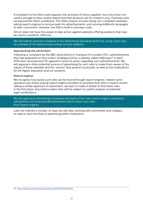A complaint to the ASA could suppress the activities of some suppliers, but only those not careful enough to have clearly stated that their products are for research only. Overseas sites are beyond the ASA's jurisdiction. The ASA's powers include listing non-compliant websites, asking search engines to remove paid-for advertisements, and running AdWords campaigns to warn consumers. However, the ASA is itself a voluntary code.

Ofcom does not have the power to take action against websites offering products that may be used in academic offences.

We will submit a formal complaint to the Advertising Standards Authority, using a test case of a sample of UK-based essay writing services websites.

#### **Approaching the advertisers**

Following a complaint by the BBC (and others) to Transport for London (TfL), advertisements that had appeared on the London Underground for a website called OKEssays<sup>33</sup> in April 2016 were removed and TfL agreed to revise its policy regarding such advertisements. We will approach other potential sources of advertising for such sites to make them aware of the nature of these websites and the 'service' they purport to provide, as well as the implications for UK higher education and our students.

#### **Search engines**

We recognise how easily such sites can be found through search engines. Indeed some operators are clearly paying search engine providers to prioritise their sites in search results. Taking a similar approach to advertisers, we want to make it harder to find these sites in the first place. Any actions taken here will be subject to careful analysis of potential legal ramifications.

We will approach advertising companies and each of the main search engine companies asking them not to accept advertisements and to block such sites from search engines.

Later we indicate a number of steps we will take, working with universities and colleges, to seek to stem the flow of advertising within institutions.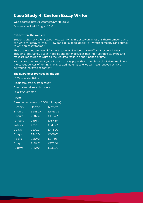# **Case Study 4: Custom Essay Writer**

Web address: [http://customessaywriter.co.uk](http://customessaywriter.co.uk )

Content checked: 1 August 2016

## **Extract from the website:**

Students often ask themselves: "How can I write my essay on time?", "Is there someone who can write my essay for me?", "How can I get a good grade?" or "Which company can I entrust to write an essay for me?"

These questions are typical for most students. Students have different responsibilities, including jobs, family duties, hobbies and other activities that interrupt their studying and makes it impossible to write all the required tasks in a short period of time.

You can rest assured that you will get a quality paper that is free from plagiarism. You know the consequences of turning in plagiarized material, and we will never put you at risk of delivering that type of content.

## **The guarantees provided by the site:**

100% confidentiality Plagiarism-free custom essay Affordable prices + discounts Quality guarantee **Prices:**

## Based on an essay of 3000 (12 pages)

| Urgency             | <b>Degree</b> | <b>Masters</b> |
|---------------------|---------------|----------------|
| 3 hours             | £948.27       | £1463.79       |
| 6 hours             | £682.46       | £1054.23       |
| 12 hours            | £491.17       | £757.56        |
| 24 hours            | £353.11       | £545.72        |
| 2 days              | £270.01       | £414.00        |
| $3 \overline{days}$ | £240.01       | £366.03        |
| $4$ days            | £210.01       | £317.98        |
| $5 \overline{days}$ | £180.01       | £270.01        |
| 10 days             | £162.04       | £233.99        |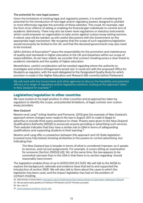## **The potential for new legal powers**

Given the limitations of existing legal and regulatory powers, it is worth considering the potential for the introduction of new legal and/or regulatory powers designed to prohibit or more effectively regulate the activities of these websites. This could, for example, take the form of an offence of aiding or enabling for financial gain individuals to commit acts of academic dishonesty. There may also be lower-level regulations or statutory instruments which could empower an organisation to take action against custom essay writing services. A robust case will be needed, as will careful discussions with the Government on the appropriate legal mechanism. We recognise that the scope of such regulations/legislation would necessarily be limited to the UK, and that the devolved governments may also need to be involved.

QAA's Articles of Association<sup>34</sup> place the responsibility for the promotion and maintenance of quality and standards in higher education in the UK and elsewhere within our scope of responsibilities. As we have stated, we consider that contract cheating poses a clear threat to academic standards and the quality of higher education.

Nevertheless, careful consideration will be needed regarding where the authority to investigate and enforce infringements would rest. It could rest with the proposed Office for Students as regulator, with the work delegated to the Designated Quality Body for which provision is made in the Higher Education and Research Bill currently before Parliament.

We will work with the Government and other agencies to discuss the feasibility and potential efficacy of a range of regulatory and/or legislative solutions, looking at the approach taken in New Zealand for example.<sup>35</sup>

## **Legislation/regulation in other countries**

We have looked at the legal position in other countries and at approaches taken by regulators to identify the scope, and potential limitations, of legal controls over custom essay providers.

## **New Zealand**

Newton and Lang36 (citing Heather and Fensome, 2013) give the example of New Zealand's approach where changes were made to the law in August 2011 to make it illegal to advertise or provide third-party assistance to cheat. Powers were given to the New Zealand Qualifications Authority (NZQA) to prosecute anyone providing or advertising such services. Their website indicates that they have a similar role to QAA in terms of safeguarding qualifications and supporting students in their learning.37

Newton and Lang offer a comparison between this approach and US State legislation (covered more fully below) showing similarities in the powers to control advertising, but indicating that:

 The New Zealand law is broader in terms of what is considered improper, as it speaks to services, and not just assignments. For example, it covers sitting an examination for someone (Section 292E(4) (d)). Yet, at the same time, the law appears to be somewhat narrower than in the USA in that there is no section regarding 'should reasonably have known'.

The legislation enables fines of up to NZ\$10,000 (£5,300). We will talk to the NZQA to explore the background, rationale and evidence base that led to and supported the introduction of section 292E. We will also talk to them about the cases in which the legislation has been used, and the impact legislation has had on the problem of contract cheating.

<sup>34</sup> QAA Articles of Association: [www.qaa.ac.uk/en/Publications/Documents/articles-of-association-QAAboard-2012.pdf](http://www.qaa.ac.uk/en/Publications/Documents/articles-of-association-QAAboard-2012.pdf)

<sup>35</sup> We are particularly grateful to Professor Phil Newton and Dr Thomas Lancaster.

<sup>36</sup> See note 14.

<sup>37</sup> [www.nzqa.govt.nz/about-us/our-role](http://www.nzqa.govt.nz/about-us/our-role)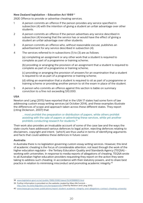## **New Zealand legislation - Education Act 1989**<sup>38</sup>

292E Offence to provide or advertise cheating services.

- 1 A person commits an offence if the person provides any service specified in subsection (4) with the intention of giving a student an unfair advantage over other students.
- 2 A person commits an offence if the person advertises any service described in subsection (4) knowing that the service has or would have the effect of giving a student an unfair advantage over other students.
- 3 A person commits an offence who, without reasonable excuse, publishes an advertisement for any service described in subsection (4).
- 4 The services referred to in subsections (1) to (3) are as follows:

 (a) completing an assignment or any other work that a student is required to complete as part of a programme or training scheme;

 (b) providing or arranging the provision of an assignment that a student is required to complete as part of a programme or training scheme;

 (c) providing or arranging the provision of answers for an examination that a student is required to sit as part of a programme or training scheme;

 (d) sitting an examination that a student is required to sit as part of a programme or training scheme or providing another person to sit the exam in place of the student.

5 A person who commits an offence against this section is liable on summary conviction to a fine not exceeding \$10,000.

## **USA**

Newton and Lang (2015) have reported that in the USA 17 states had some form of law addressing custom essay writing services (at October 2014), and these examples illustrate the differences of scope and approach taken across these different states. They report (citing Dickerson, 2007) that:

 … most prohibit the preparation or distribution of papers, while others prohibit assisting with the sale of papers or advertising these services, while yet another prohibits conducting research for students.39

Their work also provides an invaluable account of some of the case law and the ways the state courts have addressed various defences to legal action, rejecting defences relating to disclaimers, copyright and intent, '[which] are thus useful in terms of identifying arguments and facts that could address these defences in future cases'.

## **Australia**

In Australia there is no legislation governing custom essay writing services. However, this kind of academic cheating is the focus of considerable attention, not least through the work of the higher education regulator - the Tertiary Education Quality and Standards Agency (TEQSA) working with universities. In response to media reports of allegations of cheating, TEQSA wrote to all Australian higher education providers requesting they report on the action they were taking to address such cheating, in accordance with their statutory powers, and to share best practice in relation to minimising misconduct and promoting academic integrity.40

39 Further information is provided on the website created by Mary McCormick <http://law-fsu.beta.libguides.com/termpapermills> (cited by Newton and Lang 2015)

<sup>38</sup> [www.legislation.govt.nz/act/public/1989/0080/latest/DLM3988805.html](http://www.legislation.govt.nz/act/public/1989/0080/latest/DLM3988805.html)

<sup>40</sup> [www.teqsa.gov.au/news-publications/report-student-academic-integrity-and-allegations-contract-cheating-university](http://www.teqsa.gov.au/news-publications/report-student-academic-integrity-and-allegations-contract-cheating-university)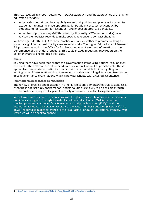This has resulted in a report setting out TEQSA's approach and the approaches of the higher education providers:

- All providers report that they regularly review their policies and practices to: promote academic integrity; minimise opportunity for fraudulent assessment conduct by students; detect academic misconduct; and impose appropriate penalties…
- A number of providers (eg Griffith University, University of Western Australia) have revised their policies recently to make specific reference to contract cheating.

We have agreed with TEQSA to share practice and work together to promote tackling the issue through international quality assurance networks. The Higher Education and Research Bill proposes awarding the Office for Students the power to request information on the performance of a provider's functions. This could include requesting they report on the action they are taking to tackle this issue.

## **China**

In China there have been reports that the government is introducing national regulations<sup>41</sup> to describe the acts that constitute academic misconduct, as well as punishments. These appear to cover academic institutions, which will be responsible for investigating and judging cases. The regulations do not seem to make these acts illegal in law, unlike cheating in college entrance examinations which is now punishable with a custodial sentence.

## **International approaches to regulation**

The review of practice and legislation in other jurisdictions demonstrates that custom essay cheating is not just a UK phenomenon, and its solution is unlikely to be possible through UK channels alone, especially given the ability of website providers to register overseas.

We will work with our partner agencies across the globe through bilateral communications and ideas sharing and through the established networks of which QAA is a member: the European Association for Quality Assurance in Higher Education (ENQA) and the International Network for Quality Assurance Agencies in Higher Education (INQAAHE). The TEQSA report also makes reference to the Asia Pacific Forum on Educational Integrity, with which we will also seek to engage.

<sup>41</sup> [http://news.xinhuanet.com/english/2016-04/13/c\\_135275962.htm?platform=hootsuite](http://news.xinhuanet.com/english/2016-04/13/c_135275962.htm?platform=hootsuite)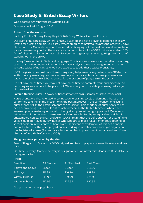# **Case Study 5: British Essay Writers**

Web address: [www.britishessaywriters.co.uk](http://www.britishessaywriters.co.uk)

Content checked: 1 August 2016

## **Extract from the website:**

Looking For the Nursing Essay Help? British Essay Writers Are Here For You.

Our team of nursing essay writers is highly qualified and have proven experience in essay writing for nursing domain. Our essay writers are fully committed towards the order you have placed with us. Our writers put all their efforts in bringing out the best and excellent material for you. We assure you that the work done by our writers will be 100% unique and also 100% free of plagiarism. By getting our help for your nursing essays, you are getting the chance of standing out in the crowd.

Nursing Essay written in Technical Language: This is simple as we know the reflective writing, care study, patient journey, interventions, case analysis, disease management and other versatile topics of nursing and we have experts to tackle these topics proficiently.

100% plagiarism-free custom written nursing essay help: We ensure you to provide 100% custom written nursing essay help and we also ensure you that our writers compose your essay from scratch therefore there will be no chance for the presence of plagiarism in the essay.

Do not have much time? You may not have much time to complete your nursing essay, do not worry as we are here to help you out. We ensure you to provide your essay before you hit the deadline.

#### **Sample Nursing Essay UK** [\(www.britishessaywriters.co.uk/sample/nursing-essay.php\)](http://www.britishessaywriters.co.uk/sample/nursing-essay.php)

Nurse shortage is characterized in connection to existing levels of demands that are not conformed to either in the present or in the past moreover in the comparison of existing nurses those still in the establishments of acquisition. This shortage of nurse services has been seen among numerous facilities of healthcare in the United Kingdom where there are examples of maturing nurse who don't get supplanted being supplanted. Quite, most retirements of the matured nurses are not being supplanted by an equivalent weight of unexampled nurses. Buchan and Aiken (2008) regret that the deficiency is not quantifiable, yet it is quite portrayed by few nurses who who are to make full a tremendous opening of vacant position in the centre of healthcare. Significant consideration of this deficiency is not in the terms of the unemployed nurses working in private clinic center yet majorly on the Registered Nurses (RNs) who are less in number in government human services offices (Bureau of Health Professions, 2004).

## **The guarantees provided by the site:**

Free of Plagiarism: Our work is 100% original and free of plagiarism We write every work from scratch

On-Time Delivery: On time delivery is our guarantee, we never miss deadlines Rush delivery for urgent orders

| <b>Prices:</b>   |              |              |                    |
|------------------|--------------|--------------|--------------------|
| <b>Deadline</b>  | 2:2 Standard | 2:1 Standard | <b>First Class</b> |
| 6 days and above | £8.99        | £13.99       | £18.99             |
| $3-5$ days       | £11.99       | £16.99       | £21.99             |
| Within 48 hours  | £14.99       | £19.99       | £24.99             |
| Within 24 hours  | £17.99       | £22.99       | £27.99             |

Charges are on a per page basis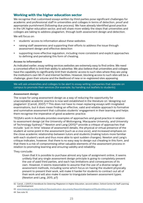## **Working with the higher education sector**

We recognise that customised essays written by third parties pose significant challenges for academic and professional staff in universities and colleges in terms of detection, proof and appropriate punishment (following due process). We have already identified good practice in the UK higher education sector, and will share more widely the steps that universities and colleges are taking to address plagiarism, through both assessment design and detection.

We will focus on:

- students' access to information about these websites
- raising staff awareness and supporting their efforts to address the issue through assessment design and effective detection
- supporting more effective regulation, including more consistent and explicit approaches to defining and penalising this form of cheating.

## **Access to information**

As indicated earlier, essay writing services websites are extremely easy to find online. We need a concerted effort to limit their ability to advertise. We also believe that universities and colleges have the capability to significantly limit their students' access to such sites where they are using the institution's own Wi-Fi and internet facilities. However, blocking access to such sites will be a challenge, given their volume and the likelihood of new or re-registered sites appearing.

We will ask universities and colleges to be alert to essay writing companies that operate on campus to promote their services (for example, by handing out leaflets to students).

## **Assessment design**

The scope for using assessment design as a way of reducing the opportunity for unacceptable academic practice is now well established in the literature on 'designing out plagiarism' (Carroll, 2007).42 This does not have to mean replacing essays with invigilated examinations, but it does mean finding an effective, valid and reliable approach to formative and summative assessment that cultivates students' engagement in their learning and helps them recognise the imperative of good academic practice.

TEQSA's work in Australia provides examples of approaches and good practice in relation to assessment design (at the University of Wollongong, Macquarie University, and University of Technology Sydney).<sup>43</sup> Newton and Lang (2015)<sup>44</sup> provide a critique of approaches that include: 'just-in-time' release of assessment details; the physical or virtual presence of the student at some point in the assessment (such as a viva voce); and increased emphasis on the close academic relationship between tutors and students (making tutors more familiar with each student's work and thus more able to spot sudden changes). Newton and Lang's critique indicates, however, that there is no easy way to design out cheating in this form, and that there is a risk of compromising other valuable elements of the assessment process in relation to promoting learning and ensuring validity and reliability.

## They conclude:

 Given that it is possible to purchase almost any type of assignment online, it seems unlikely that any single assessment design principle is going to completely prevent the use of paid third parties, and each has limitations and consequences of its own. However, it seems reasonable to assume that the use of a diverse range of assessment methods, including some which focus on having the student physically present to present their work, will make it harder for students to contract out all of their work and will also make it easier to triangulate between assessment types. (Newton and Lang, 2015, p7)

43 [www.teqsa.gov.au/sites/default/files/publication-documents/ReportOnAllegationsOfStudentMisconduct.pdf](http://www.teqsa.gov.au/sites/default/files/publication-documents/ReportOnAllegationsOfStudentMisconduct.pdf)

<sup>42</sup> Carroll, J (2007) *A Handbook for Deterring Plagiarism in Higher Education*, second edition, Oxford Centre for Staff Learning and Development

<sup>44</sup> See note 14.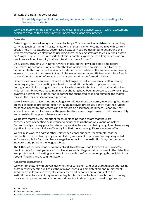Similarly the TEQSA report asserts:

 It is widely regarded that the best way to detect and deter contract cheating is to 'know your students'.

We will explore with the sector, and share existing good practice, ways in which assessment design can reduce the opportunity for unacceptable academic practice

#### **Detection**

Detecting customised essays can be a challenge. The now well established text-matching software (such as Turnitin) has its limitations, in that it can only compare text with content already held in its database. Customised essay services are designed to get around this, with many companies claiming to use plagiarism-checking software to ensure their essays are 'plagiarism free'. TEQSA asserts that this is not the experience of all higher education providers - a line of enquiry that we intend to explore further.<sup>45</sup>

Discussions, including with Turnitin,46 have indicated that it will be some time before text-matching software is able to offer the kind of linguistic analysis needed to clearly demonstrate that submitted work is not a student's own while, at the same time, remaining as easy to use as it is at present. It would be necessary to have sufficient examples of each student's writing style before any such analysis could be performed reliably.

Other issues have been raised about the challenges posed for academic staff in reliably detecting any form of cheating, not least in the additional burden it places on them during a period of marking, the workload for which may be high and with a short deadline. Rule-of-thumb approaches to marking out cheating have been reported to us; for example, awarding a lower mark rather than reporting the suspected case and pursuing the matter through the university's approved process.

We will work with universities and colleges to address these concerns, recognising that there are two aspects to proper detection through approved processes. Firstly, that the student must have access to due process and therefore an assurance of fairness. Secondly, that students are made fully aware of the penalties for proven plagiarism and that these are duly and consistently applied where appropriate.

We believe that it is very important for students to be made aware that there are consequences of cheating by reference to actual cases (a theme we expand on below). Current intelligence suggests that students perceive the risk of a) being caught and b) receiving significant punishment to be sufficiently low that there is no significant deterrent effect.

We will also work to address other unintended consequences, for example, that the termination of a student's programme of study as a result of proven cheating is regarded as 'non-completion' and can have a negative impact on the institution's key performance indicators and place in the league tables.

The Office of the Independent Adjudicator (OIA) offers a Good Practice Framework<sup>47</sup> to provide more focused guidance for universities and colleges on due process in the detection and punishment of cheating, and we will work with the OIA on developing this in light of this reports' findings and recommendations.

#### **Academic regulations**

We want to explore with universities whether a consistent and explicit regulation addressing custom essay cheating will assist them in awareness raising, detection and punishment. Academic regulations, investigatory processes and penalties are all subject to the institutional autonomy of degree-awarding bodies, but we believe there is merit in having consistent approaches and sharing sound practice in deterring and penalising cheating.

<sup>45</sup> See note 39

<sup>46</sup> Personal communication

<sup>47</sup> <http://oiahe.org.uk/providers-and-good-practice/good-practice-framework.aspx>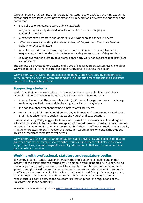We examined a small sample of universities' regulations and policies governing academic misconduct to see if there was any commonality in definitions, severity and sanctions and noted that:

- the policies or regulations were publicly available
- plagiarism was clearly defined, usually within the broader category of academic offences
- plagiarism at the master's and doctoral levels was seen as especially severe
- offences were dealt with by the relevant Head of Department, Executive Dean or deputy, or by a committee
- penalties included written warnings, zero marks, failure of component/module, suspension, expulsion, decision not to award a degree, reduction of degree class
- regulations requiring referral to a professional body were not apparent in all providers we looked at.

The sample also revealed one example of a specific regulation on custom essay cheating. We will extend this sample as the basis for sharing practice across the sector.

We will work with universities and colleges to identify and share existing good practice in the detection of custom essay cheating and in promoting more explicit and consistent approaches to punishing its use.

## **Supporting students**

We believe that we can work with the higher education sector to build on and share examples of good practice in relation to raising students' awareness that:

- irrespective of what these websites claim ('100 per cent plagiarism free'), submitting such essays as their own work is cheating and a form of plagiarism
- the consequences for cheating and plagiarism will be severe
- support is available, and should be sought, in the event of assessment-related stress that might drive them to seek an apparently quick and easy solution.

Newton and Lang (2015) suggest that there is a mismatch between students and higher education providers in terms of the perception of the seriousness of custom essay cheating. In a survey, a majority of students appeared to think that this offence carried a minor penalty - failure of the assignment. In reality, the institution would be likely to expel the student. This is an important message to get across.

We will work with the National Union of Students and universities and colleges to develop guidance that can be readily used by higher education providers, with links to their own support services, academic regulations and guidance and initiatives on assessment and good academic practice.

## **Working with professional, statutory and regulatory bodies**

To varying extents, PSRBs have an interest in the implications of cheating and in the integrity of the qualifications awarded by UK degree-awarding bodies. All are concerned that a degree certificate/transcript should accurately report the student's achievement gained through honest means. Some professional bodies consider academic misconduct a sufficient reason to bar an individual from membership and from professional practice, constituting evidence that he or she is not fit to practise.<sup>48</sup> For example, academic misconduct is a bar to entry to the solicitors' profession (under the regulations of the Solicitors Regulation Authority).

48 Section 4.1 of the SRA Suitability Test 2011: [www.sra.org.uk/solicitors/handbook/suitabilitytest/content.page](http://www.sra.org.uk/solicitors/handbook/suitabilitytest/content.page)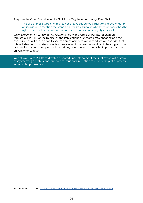To quote the Chief Executive of the Solicitors' Regulation Authority, Paul Philip:

 The use of these type of websites not only raises serious questions about whether an individual is meeting the standards required, but also whether somebody has the right character to enter a profession where honesty and integrity is crucial.<sup>49</sup>

We will draw on existing working relationships with a range of PSRBs, for example through our PSRB Forum, to discuss the implications of custom essay cheating and the consequences of it in relation to specific areas of professional conduct. We consider that this will also help to make students more aware of the unacceptability of cheating and the potentially severe consequences beyond any punishment that may be imposed by their university or college.

We will work with PSRBs to develop a shared understanding of the implications of custom essay cheating and the consequences for students in relation to membership of or practise in particular professions.

49 Quoted by the Guardian: [www.theguardian.com/money/2016/jul/09/essay-bought-online-errors-refund](https://www.theguardian.com/money/2016/jul/09/essay-bought-online-errors-refund)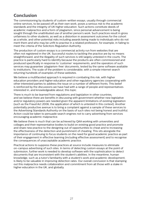# **Conclusion**

The commissioning by students of custom-written essays, usually through commercial online services, to be passed off as their own work, poses a serious risk to the academic standards and the integrity of UK higher education. Such actions constitute deeds of academic malpractice and a form of plagiarism, since personal advancement is being sought through the unattributed use of another person's work. Such practices result in gross unfairness to other students, as well as a distortion in assessment outcomes for the cohort as a whole, and other potential risks including awards being made to individuals who do not merit them and who may be unfit to practise in a related profession, for example, in failing to meet the criteria of the Solicitors Regulation Authority.

The production of custom essays is a commercial activity run from websites that are often not registered in the UK. Successful routes to tackling the practice are by no means straightforward, and the illegality of such services is still largely untested in the courts. The practice is particularly hard to identify because the products are often commissioned and produced specifically in response to 'customer' requirements, and the operators of such services may guarantee 'plagiarism-free' documents, tested by the same software available to institutions. The scale of the problem is considerable, with a simple internet search returning hundreds of examples of these websites.

We believe a multifaceted approach is required in combating this risk, with higher education providers and higher education and other regulatory agencies cooperating with other interested parties to address the issue on a number of different fronts. This belief is reinforced by the discussions we have had with a range of people and representatives interested in, and knowledgeable about, this topic.

There is much to be learned from regulations and legislation in other countries, and we believe there are benefits in discussing with government whether new legislative and/or regulatory powers are needed given the apparent limitations of existing legislation (such as the Fraud Act 2006, the application of which is untested in this context). Another potentially productive avenue is to bring a complaint against a sample of these services to the Advertising Standards Authority on the basis of such sites not being honest and truthful. Action could be taken to persuade search engines not to carry advertising from services encouraging academic malpractice.

We believe there is much that can be achieved by QAA working with universities and colleges and their representative bodies to build on existing good practice and promote and share new practice to the designing out of opportunities to cheat and to increasing the effectiveness of the detection and punishment of cheating. This sits alongside the importance of continuing to focus students on the need for good academic practice as part of their engagement in effective learning (including effective assessment) and to recognise the consequences of unacceptable academic practice.

Practical actions to suppress these practices at source include measures to eliminate on-campus advertising of such sites. In terms of detecting custom essays at the point of submission, further work is needed to develop software with the sophistication to detect documents that are inconsistent with the student's abilities. In the meantime, human knowledge, such as a tutor's familiarity with a student's work and academic development, is likely to be valuable in improving detection rates. Our overall conclusion is that stamping out this malpractice needs collaboration and commitment from all those with a stake in higher education in the UK, and globally.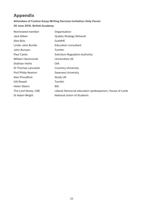# **Appendix**

## **Attendees of Custom Essay Writing Services Invitation-Only Forum**

## **28 June 2016, British Academy**

| <b>Nominated member</b> | Organisation                                            |
|-------------------------|---------------------------------------------------------|
| Jack Aitken             | <b>Quality Strategy Network</b>                         |
| Alex Bols               | <b>GuildHE</b>                                          |
| Linda-Jane Buckle       | Education consultant                                    |
| John Bunyan             | Turnitin                                                |
| Paul Carter             | <b>Solicitors Regulation Authority</b>                  |
| William Hammonds        | Universities UK                                         |
| Siobhan Hohls           | <b>OIA</b>                                              |
| Dr Thomas Lancaster     | <b>Coventry University</b>                              |
| Prof Philip Newton      | Swansea University                                      |
| <b>Alex Proudfoot</b>   | Study UK                                                |
| <b>Gill Rowell</b>      | Turnitin                                                |
| <b>Helen Steers</b>     | <b>BIS</b>                                              |
| The Lord Storey, CBE    | Liberal Democrat education spokesperson, House of Lords |
| Dr Adam Wright          | National Union of Students                              |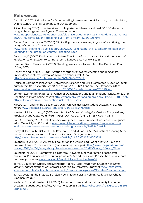# **References**

Carroll, J (2007) *A Handbook for Deterring Plagiarism in Higher Education*, second edition, Oxford Centre for Staff Learning and Development

Ali, A (January 2016) UK universities in 'plagiarism epidemic' as almost 50,000 students caught cheating over last 3 years, *The Independent* [www.independent.co.uk/student/news/uk-universities-in-plagiarism-epidemic-as-almost-](http://www.independent.co.uk/student/news/uk-universities-in-plagiarism-epidemic-as-almost-50000-students-caught-cheating-over-last-3-years-a6796021.html)[50000-students-caught-cheating-over-last-3-years-a6796021.html](http://www.independent.co.uk/student/news/uk-universities-in-plagiarism-epidemic-as-almost-50000-students-caught-cheating-over-last-3-years-a6796021.html)

Clarke, R and Lancaster, T (2006) *Eliminating the successor to plagiarism? Identifying the usage of contract cheating sites*

www.researchgate.net/publication/228367576 Eliminating the successor to plagiarism Identifying the usage of contract cheating sites

Dickerson, D (2007) Facilitated plagiarism: The Saga of term-paper mills and the failure of legislation and litigation to control them. Villanova Law Review, 52, 21

Heather, B and Fensome, A (2013) Cheating service test for new law. The Dominion Post, 13 May 2013

Hosny, M and Fatima, S (2014) Attitude of students towards cheating and plagiarism: university case study, *Journal of Applied Sciences*, vol 14, no 8 <http://docsdrive.com/pdfs/ansinet/jas/2014/748-757.pdf>

House of Commons Innovation, Universities, Science and Skills Committee (2009) *Students and Universities: Eleventh Report of Session 2008–09*, London: The Stationery Office [www.publications.parliament.uk/pa/cm200809/cmselect/cmdius/170/170i.pdf](http://www.publications.parliament.uk/pa/cm200809/cmselect/cmdius/170/170i.pdf)

London Economics on behalf of Office of Qualifications and Examinations Regulation (2014) Cheating risk from online essays [http://webarchive.nationalarchives.gov.uk/20141031163546/](http://webarchive.nationalarchives.gov.uk/20141031163546/http://ofqual.gov.uk/news/cheating-risk-online-essays/) [http://ofqual.gov.uk/news/cheating-risk-online-essays/](http://webarchive.nationalarchives.gov.uk/20141031163546/http://ofqual.gov.uk/news/cheating-risk-online-essays/)

Mostrous, A, and Kenber, B (January 2016) Universities face student cheating crisis, *The Times* [www.thetimes.co.uk/tto/education/article4654719.ece](http://www.thetimes.co.uk/tto/education/article4654719.ece)

Newton, P M and Lang, C (2015) *Handbook of Academic Integrity: Custom Essay Writers, Freelancer and Other Paid Third Parties*, DOI 10.1007/978-981-287-079-7\_38-1

Parr, C (February 2015) Best University Workplace Survey: unease at inadequate language skills, *Times Higher Education* [www.timeshighereducation.com/news/best-university](https://www.timeshighereducation.com/news/best-university-workplace-survey-unease-at-inadequate-language-skills/2018345.article)[workplace-survey-unease-at-inadequate-language-skills/2018345.article](https://www.timeshighereducation.com/news/best-university-workplace-survey-unease-at-inadequate-language-skills/2018345.article)

Rigby, D, Burton, M, Balcombe, K, Bateman, I, and Mulatu, A (2015) Contract cheating & the market in essays, *Journal of Economic Behavior & Organization* <http://www.sciencedirect.com/science/article/pii/S0167268114003321>

Smithers, R (July 2016) 'An essay I bought online was so bad I want a refund - but the firm won't pay up', *The Guardian* (consumer rights pages) [https://www.theguardian.com/](https://www.theguardian.com/money/2016/jul/09/essay-bought-online-errors-refund?CMP=Share_iOSApp_Oth) [money/2016/jul/09/essay-bought-online-errors-refund?CMP=Share\\_iOSApp\\_Other](https://www.theguardian.com/money/2016/jul/09/essay-bought-online-errors-refund?CMP=Share_iOSApp_Oth)

Saunders, N (2006) 'Combatting plagiarism - towards a new definition of academic misconduct', Education Law Journal paras 285-6, and the Crown Prosecution Service note on these provisions [www.cps.gov.uk/legal/d\\_to\\_g/fraud\\_act/#a07](http://www.cps.gov.uk/legal/d_to_g/fraud_act/#a07).

Tertiary Education Quality and Standards Agency (2015) *Report on Student Academic Integrity and Allegations of Contract Cheating by University Students* [www.teqsa.gov.au/](http://www.teqsa.gov.au/sites/default/files/publication-documents/ReportOnAllegationsOfStudentMisconduct.pdf) [sites/default/files/publication-documents/ReportOnAllegationsOfStudentMisconduct.pdf](http://www.teqsa.gov.au/sites/default/files/publication-documents/ReportOnAllegationsOfStudentMisconduct.pdf)

Tomar, D (2013) The Shadow Scholar: How I Made a Living Helping College Kids Cheat, Bloomsbury, USA

Wallace, M J and Newton, P M (2014) Turnaround time and market capacity in contract cheating, *Educational Studies*, vol 40, no 2, pp 233-36 [http://dx.doi.org/10.1080/03055698.](http://dx.doi.org/10.1080/03055698.2014.889597 ) [2014.889597](http://dx.doi.org/10.1080/03055698.2014.889597 )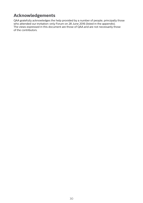# **Acknowledgements**

QAA gratefully acknowledges the help provided by a number of people, principally those who attended our invitation-only Forum on 28 June 2016 (listed in the appendix). The views expressed in this document are those of QAA and are not necessarily those of the contributors.